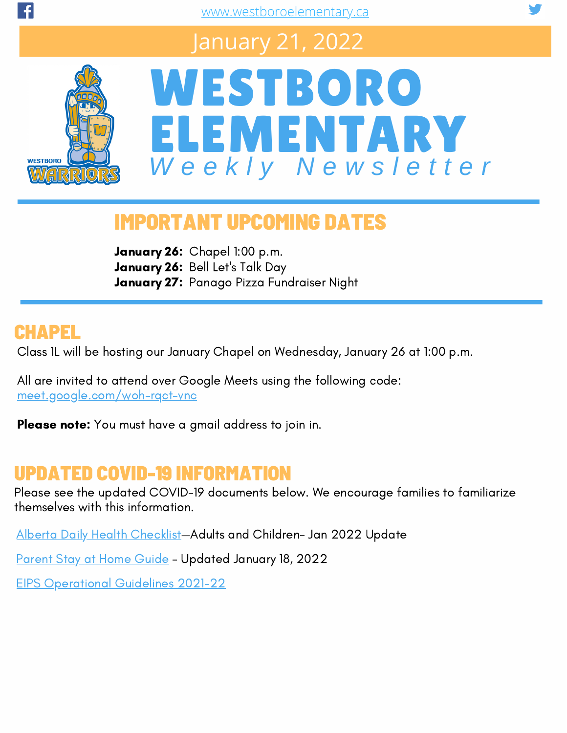### January 21, 2022



## WESTBORO ELEMENTARY *W e e k l y N e w s l e t t e r*

#### IMPORTANT UPCOMING DATES

January 26: Chapel 1:00 p.m. January 26: Bell Let's Talk Day January 27: Panago Pizza Fundraiser Night

#### CHAPEL

Class 1L will be hosting our January Chapel on Wednesday, January 26 at 1:00 p.m.

All are invited to attend over Google Meets using the following code: [meet.google.com/woh-rqct-vnc](https://meet.google.com/woh-rqct-vnc?pli=1)

Please note: You must have a gmail address to join in.

#### UPDATED COVID-19 INFORMATION

Please see the updated COVID-19 documents below. We encourage families to familiarize themselves with this information.

Alberta Daily Health [Checklist](https://open.alberta.ca/dataset/56c020ed-1782-4c6c-bfdd-5af36754471f/resource/58957831-a4ab-45ff-9a8e-3c6af7c1622e/download/covid-19-information-alberta-health-daily-checklist-2021-08.pdf)—Adults and Children- Jan 2022 Update

[Parent](http://www.westboroelementary.ca/download/378911) Stay at Home Guide - Updated January 18, 2022

EIPS [Operational](https://www.eips.ca/download/361973) Guidelines 2021-22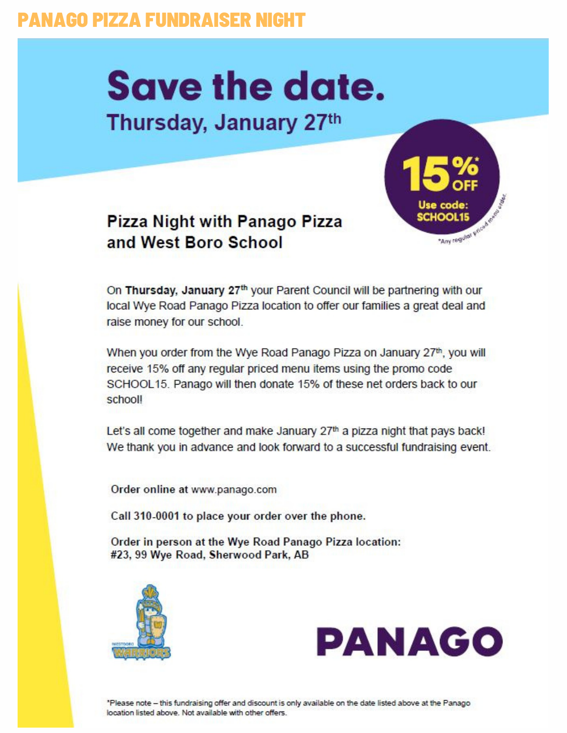#### **PANAGO PIZZA FUNDRAISER NIGHT**

# **Save the date.**

#### Thursday, January 27th



**Pizza Night with Panago Pizza** and West Boro School

On Thursday, January 27th your Parent Council will be partnering with our local Wye Road Panago Pizza location to offer our families a great deal and raise money for our school.

When you order from the Wye Road Panago Pizza on January 27th, you will receive 15% off any regular priced menu items using the promo code SCHOOL15. Panago will then donate 15% of these net orders back to our schooll

Let's all come together and make January 27<sup>th</sup> a pizza night that pays back! We thank you in advance and look forward to a successful fundraising event.

Order online at www.panago.com

Call 310-0001 to place your order over the phone.

Order in person at the Wye Road Panago Pizza location: #23, 99 Wye Road, Sherwood Park, AB



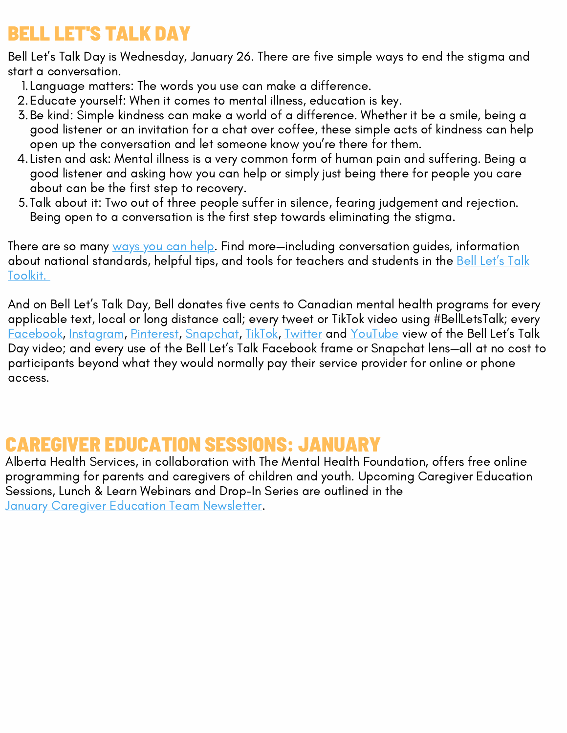#### BELL LET'S TALK DAY

Bell Let's Talk Day is Wednesday, January 26. There are five simple ways to end the stigma and start a conversation.

- Language matters: The words you use can make a difference. 1.
- Educate yourself: When it comes to mental illness, education is key. 2.
- Be kind: Simple kindness can make a world of a difference. Whether it be a smile, being a 3. good listener or an invitation for a chat over coffee, these simple acts of kindness can help open up the conversation and let someone know you're there for them.
- 4.Listen and ask: Mental illness is a very common form of human pain and suffering. Being a good listener and asking how you can help or simply just being there for people you care about can be the first step to recovery.
- Talk about it: Two out of three people suffer in silence, fearing judgement and rejection. 5. Being open to a conversation is the first step towards eliminating the stigma.

There are so many [ways](https://letstalk.bell.ca/en/ways-to-help) you can help. Find more—including conversation guides, information about [n](https://letstalk.bell.ca/en/toolkit)ational [standards,](https://letstalk.bell.ca/en/toolkit) helpful tips, and tools for teachers and students in the Bell Let's Talk Toolkit.

And on Bell Let's Talk Day, Bell donates five cents to Canadian mental health programs for every applicable text, local or long distance call; every tweet or TikTok video using #BellLetsTalk; every [Facebook,](https://www.facebook.com/BellLetsTalk) [Instagram](https://www.instagram.com/bell_letstalk/), [Pinterest](https://www.pinterest.ca/bellletstalk/_saved/), [Snapchat](https://www.snapchat.com/), [TikTok](https://www.tiktok.com/@bell_letstalk), [Twitter](https://twitter.com/Bell_LetsTalk) and [YouTube](https://www.youtube.com/BellCanada) view of the Bell Let's Talk Day video; and every use of the Bell Let's Talk Facebook frame or Snapchat lens—all at no cost to participants beyond what they would normally pay their service provider for online or phone access.

#### CAREGIVER EDUCATION SESSIONS: JANUARY

Alberta Health Services, in collaboration with The Mental Health Foundation, offers free online programming for parents and caregivers of children and youth. Upcoming Caregiver Education Sessions, Lunch & Learn Webinars and Drop-In Series are outlined in the **January Caregiver Education Team [Newsletter](https://drive.google.com/file/d/1mtltt4voSMcNZxvAn4psSYsgLKh-KesL/view).**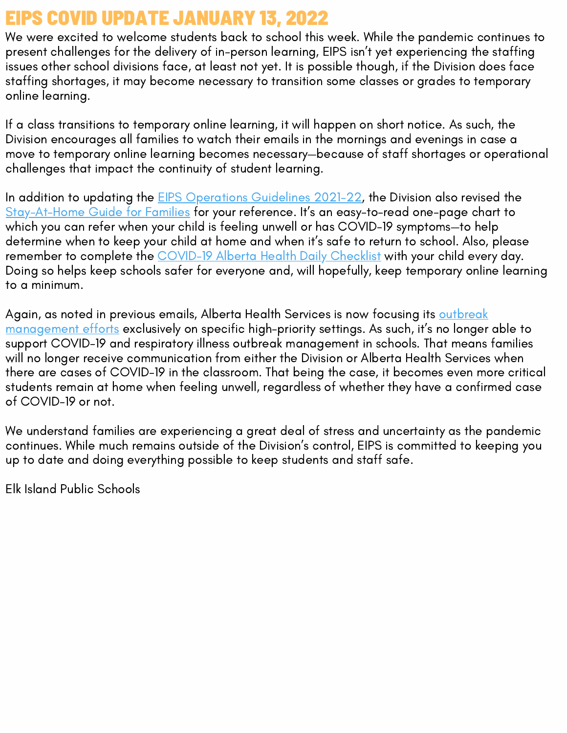#### EIPS COVID UPDATE JANUARY 13, 2022

We were excited to welcome students back to school this week. While the pandemic continues to present challenges for the delivery of in-person learning, EIPS isn't yet experiencing the staffing issues other school divisions face, at least not yet. It is possible though, if the Division does face staffing shortages, it may become necessary to transition some classes or grades to temporary online learning.

If a class transitions to temporary online learning, it will happen on short notice. As such, the Division encourages all families to watch their emails in the mornings and evenings in case a move to temporary online learning becomes necessary—because of staff shortages or operational challenges that impact the continuity of student learning.

In addition to updating the **EIPS [Operations](https://www.eips.ca/download/361973) Guidelines 2021-22**, the Division also revised the [Stay-At-Home](https://www.eips.ca/download/310777) Guide for Families for your reference. It's an easy-to-read one-page chart to which you can refer when your child is feeling unwell or has COVID-19 symptoms—to help determine when to keep your child at home and when it's safe to return to school. Also, please remember to complete the [COVID-19](https://open.alberta.ca/dataset/56c020ed-1782-4c6c-bfdd-5af36754471f/resource/58957831-a4ab-45ff-9a8e-3c6af7c1622e/download/covid-19-information-alberta-health-daily-checklist-2021-08.pdf) Alberta Health Daily Checklist with your child every day. Doing so helps keep schools safer for everyone and, will hopefully, keep temporary online learning to a minimum.

Again, as noted in previous emails, Alberta Health Services is now focusing its outbreak [management](https://www.eips.ca/download/378043) efforts exclusively on specific high-priority settings. As such, it's no longer able to support COVID-19 and respiratory illness outbreak management in schools. That means families will no longer receive communication from either the Division or Alberta Health Services when there are cases of COVID-19 in the classroom. That being the case, it becomes even more critical students remain at home when feeling unwell, regardless of whether they have a confirmed case of COVID-19 or not.

We understand families are experiencing a great deal of stress and uncertainty as the pandemic continues. While much remains outside of the Division's control, EIPS is committed to keeping you up to date and doing everything possible to keep students and staff safe.

Elk Island Public Schools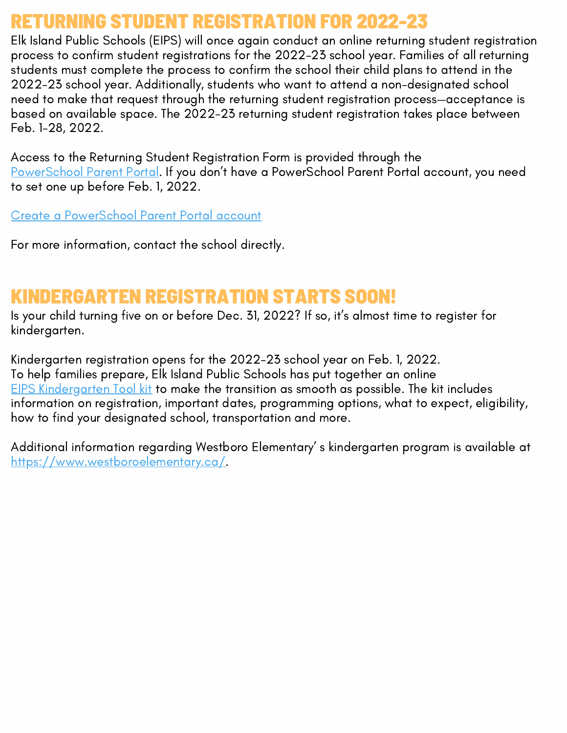#### RETURNING STUDENT REGISTRATION FOR 2022-23

Elk Island Public Schools (EIPS) will once again conduct an online returning student registration process to confirm student registrations for the 2022-23 school year. Families of all returning students must complete the process to confirm the school their child plans to attend in the 2022-23 school year. Additionally, students who want to attend a non-designated school need to make that request through the returning student registration process—acceptance is based on available space. The 2022-23 returning student registration takes place between Feb. 1-28, 2022.

Access to the Returning Student Registration Form is provided through the [PowerSchool](https://powerschool.eips.ca/public/home.html) Parent Portal. If you don't have a PowerSchool Parent Portal account, you need to set one up before Feb. 1, 2022.

Create a [PowerSchool](https://www.eips.ca/parents/powerschool/parent-portal) Parent Portal account

For more information, contact the school directly.

#### KINDERGARTEN REGISTRATION STARTS SOON!

Is your child turning five on or before Dec. 31, 2022? If so, it's almost time to register for kindergarten.

Kindergarten registration opens for the 2022-23 school year on Feb. 1, 2022. To help families prepare, Elk Island Public Schools has put together an online EIPS [Kindergarten](https://www.eips.ca/programs-services/early-learning/kindergarten) Tool kit to make the transition as smooth as possible. The kit includes information on registration, important dates, programming options, what to expect, eligibility, how to find your designated school, transportation and more.

Additional information regarding Westboro Elementary' s kindergarten program is available at [https://www.westboroelementary.ca/.](https://www.westboroelementary.ca/about/kindergarten)